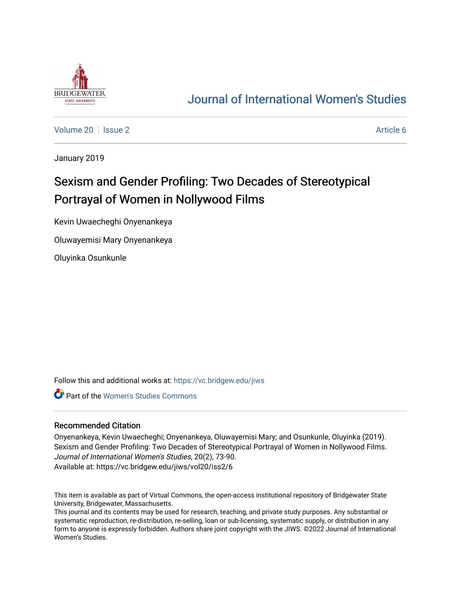

## [Journal of International Women's Studies](https://vc.bridgew.edu/jiws)

[Volume 20](https://vc.bridgew.edu/jiws/vol20) | [Issue 2](https://vc.bridgew.edu/jiws/vol20/iss2) Article 6

January 2019

# Sexism and Gender Profiling: Two Decades of Stereotypical Portrayal of Women in Nollywood Films

Kevin Uwaecheghi Onyenankeya

Oluwayemisi Mary Onyenankeya

Oluyinka Osunkunle

Follow this and additional works at: [https://vc.bridgew.edu/jiws](https://vc.bridgew.edu/jiws?utm_source=vc.bridgew.edu%2Fjiws%2Fvol20%2Fiss2%2F6&utm_medium=PDF&utm_campaign=PDFCoverPages)

Part of the [Women's Studies Commons](http://network.bepress.com/hgg/discipline/561?utm_source=vc.bridgew.edu%2Fjiws%2Fvol20%2Fiss2%2F6&utm_medium=PDF&utm_campaign=PDFCoverPages) 

#### Recommended Citation

Onyenankeya, Kevin Uwaecheghi; Onyenankeya, Oluwayemisi Mary; and Osunkunle, Oluyinka (2019). Sexism and Gender Profiling: Two Decades of Stereotypical Portrayal of Women in Nollywood Films. Journal of International Women's Studies, 20(2), 73-90. Available at: https://vc.bridgew.edu/jiws/vol20/iss2/6

This item is available as part of Virtual Commons, the open-access institutional repository of Bridgewater State University, Bridgewater, Massachusetts.

This journal and its contents may be used for research, teaching, and private study purposes. Any substantial or systematic reproduction, re-distribution, re-selling, loan or sub-licensing, systematic supply, or distribution in any form to anyone is expressly forbidden. Authors share joint copyright with the JIWS. ©2022 Journal of International Women's Studies.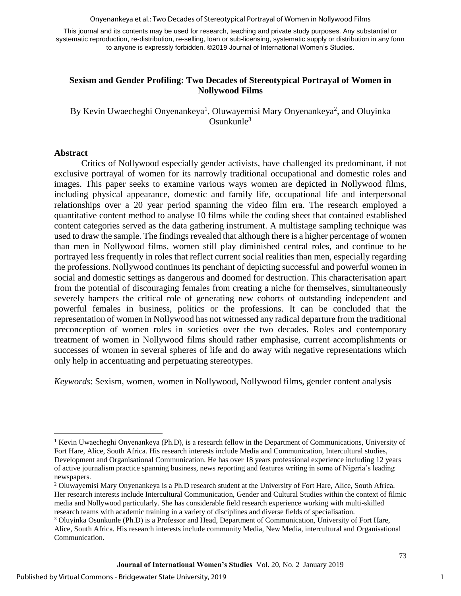Onyenankeya et al.: Two Decades of Stereotypical Portrayal of Women in Nollywood Films

This journal and its contents may be used for research, teaching and private study purposes. Any substantial or systematic reproduction, re-distribution, re-selling, loan or sub-licensing, systematic supply or distribution in any form to anyone is expressly forbidden. ©2019 Journal of International Women's Studies.

## **Sexism and Gender Profiling: Two Decades of Stereotypical Portrayal of Women in Nollywood Films**

By Kevin Uwaecheghi Onyenankeya<sup>1</sup>, Oluwayemisi Mary Onyenankeya<sup>2</sup>, and Oluyinka  $O$ sunkunle $3$ 

## **Abstract**

 $\overline{\phantom{a}}$ 

Critics of Nollywood especially gender activists, have challenged its predominant, if not exclusive portrayal of women for its narrowly traditional occupational and domestic roles and images. This paper seeks to examine various ways women are depicted in Nollywood films, including physical appearance, domestic and family life, occupational life and interpersonal relationships over a 20 year period spanning the video film era. The research employed a quantitative content method to analyse 10 films while the coding sheet that contained established content categories served as the data gathering instrument. A multistage sampling technique was used to draw the sample. The findings revealed that although there is a higher percentage of women than men in Nollywood films, women still play diminished central roles, and continue to be portrayed less frequently in roles that reflect current social realities than men, especially regarding the professions. Nollywood continues its penchant of depicting successful and powerful women in social and domestic settings as dangerous and doomed for destruction. This characterisation apart from the potential of discouraging females from creating a niche for themselves, simultaneously severely hampers the critical role of generating new cohorts of outstanding independent and powerful females in business, politics or the professions. It can be concluded that the representation of women in Nollywood has not witnessed any radical departure from the traditional preconception of women roles in societies over the two decades. Roles and contemporary treatment of women in Nollywood films should rather emphasise, current accomplishments or successes of women in several spheres of life and do away with negative representations which only help in accentuating and perpetuating stereotypes.

*Keywords*: Sexism, women, women in Nollywood, Nollywood films, gender content analysis

1

<sup>&</sup>lt;sup>1</sup> Kevin Uwaecheghi Onyenankeya (Ph.D), is a research fellow in the Department of Communications, University of Fort Hare, Alice, South Africa. His research interests include Media and Communication, Intercultural studies, Development and Organisational Communication. He has over 18 years professional experience including 12 years of active journalism practice spanning business, news reporting and features writing in some of Nigeria's leading newspapers.

<sup>2</sup> Oluwayemisi Mary Onyenankeya is a Ph.D research student at the University of Fort Hare, Alice, South Africa. Her research interests include Intercultural Communication, Gender and Cultural Studies within the context of filmic media and Nollywood particularly. She has considerable field research experience working with multi-skilled research teams with academic training in a variety of disciplines and diverse fields of specialisation.

<sup>3</sup> Oluyinka Osunkunle (Ph.D) is a Professor and Head, Department of Communication, University of Fort Hare, Alice, South Africa. His research interests include community Media, New Media, intercultural and Organisational Communication.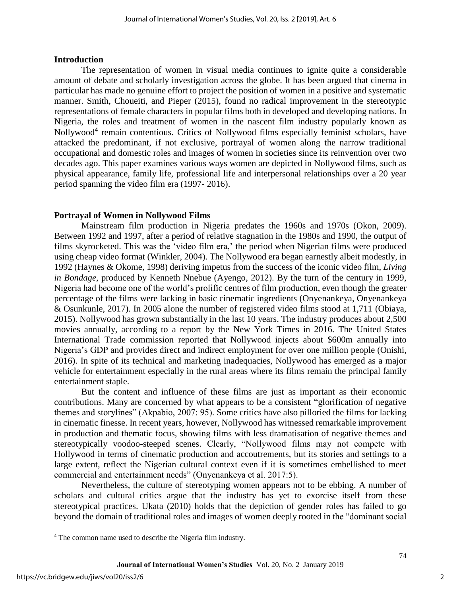#### **Introduction**

The representation of women in visual media continues to ignite quite a considerable amount of debate and scholarly investigation across the globe. It has been argued that cinema in particular has made no genuine effort to project the position of women in a positive and systematic manner. Smith, Choueiti, and Pieper (2015), found no radical improvement in the stereotypic representations of female characters in popular films both in developed and developing nations. In Nigeria, the roles and treatment of women in the nascent film industry popularly known as Nollywood<sup>4</sup> remain contentious. Critics of Nollywood films especially feminist scholars, have attacked the predominant, if not exclusive, portrayal of women along the narrow traditional occupational and domestic roles and images of women in societies since its reinvention over two decades ago. This paper examines various ways women are depicted in Nollywood films, such as physical appearance, family life, professional life and interpersonal relationships over a 20 year period spanning the video film era (1997- 2016).

## **Portrayal of Women in Nollywood Films**

Mainstream film production in Nigeria predates the 1960s and 1970s (Okon, 2009). Between 1992 and 1997, after a period of relative stagnation in the 1980s and 1990, the output of films skyrocketed. This was the 'video film era,' the period when Nigerian films were produced using cheap video format (Winkler, 2004). The Nollywood era began earnestly albeit modestly, in 1992 (Haynes & Okome, 1998) deriving impetus from the success of the iconic video film, *Living in Bondage*, produced by Kenneth Nnebue (Ayengo, 2012). By the turn of the century in 1999, Nigeria had become one of the world's prolific centres of film production, even though the greater percentage of the films were lacking in basic cinematic ingredients (Onyenankeya, Onyenankeya & Osunkunle, 2017). In 2005 alone the number of registered video films stood at 1,711 (Obiaya, 2015). Nollywood has grown substantially in the last 10 years. The industry produces about 2,500 movies annually, according to a report by the New York Times in 2016. The United States International Trade commission reported that Nollywood injects about \$600m annually into Nigeria's GDP and provides direct and indirect employment for over one million people (Onishi, 2016). In spite of its technical and marketing inadequacies, Nollywood has emerged as a major vehicle for entertainment especially in the rural areas where its films remain the principal family entertainment staple.

But the content and influence of these films are just as important as their economic contributions. Many are concerned by what appears to be a consistent "glorification of negative themes and storylines" (Akpabio, 2007: 95). Some critics have also pilloried the films for lacking in cinematic finesse. In recent years, however, Nollywood has witnessed remarkable improvement in production and thematic focus, showing films with less dramatisation of negative themes and stereotypically voodoo-steeped scenes. Clearly, "Nollywood films may not compete with Hollywood in terms of cinematic production and accoutrements, but its stories and settings to a large extent, reflect the Nigerian cultural context even if it is sometimes embellished to meet commercial and entertainment needs" (Onyenankeya et al. 2017:5).

Nevertheless, the culture of stereotyping women appears not to be ebbing. A number of scholars and cultural critics argue that the industry has yet to exorcise itself from these stereotypical practices. Ukata (2010) holds that the depiction of gender roles has failed to go beyond the domain of traditional roles and images of women deeply rooted in the "dominant social

 $\overline{\phantom{a}}$ 

<sup>4</sup> The common name used to describe the Nigeria film industry.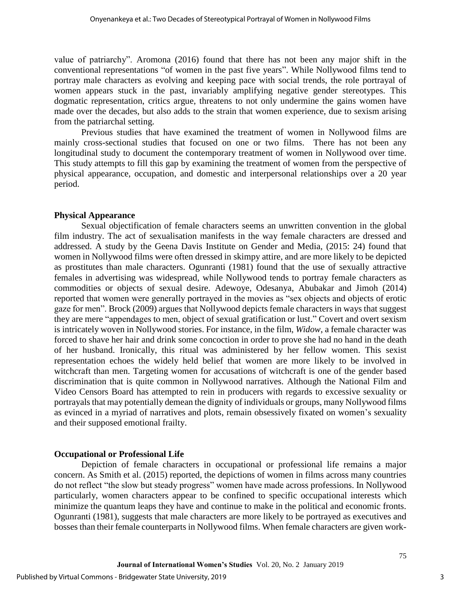value of patriarchy". Aromona (2016) found that there has not been any major shift in the conventional representations "of women in the past five years". While Nollywood films tend to portray male characters as evolving and keeping pace with social trends, the role portrayal of women appears stuck in the past, invariably amplifying negative gender stereotypes. This dogmatic representation, critics argue, threatens to not only undermine the gains women have made over the decades, but also adds to the strain that women experience, due to sexism arising from the patriarchal setting.

Previous studies that have examined the treatment of women in Nollywood films are mainly cross-sectional studies that focused on one or two films. There has not been any longitudinal study to document the contemporary treatment of women in Nollywood over time. This study attempts to fill this gap by examining the treatment of women from the perspective of physical appearance, occupation, and domestic and interpersonal relationships over a 20 year period.

## **Physical Appearance**

Sexual objectification of female characters seems an unwritten convention in the global film industry. The act of sexualisation manifests in the way female characters are dressed and addressed. A study by the Geena Davis Institute on Gender and Media, (2015: 24) found that women in Nollywood films were often dressed in skimpy attire, and are more likely to be depicted as prostitutes than male characters. Ogunranti (1981) found that the use of sexually attractive females in advertising was widespread, while Nollywood tends to portray female characters as commodities or objects of sexual desire. Adewoye, Odesanya, Abubakar and Jimoh (2014) reported that women were generally portrayed in the movies as "sex objects and objects of erotic gaze for men". Brock (2009) argues that Nollywood depicts female characters in ways that suggest they are mere "appendages to men, object of sexual gratification or lust." Covert and overt sexism is intricately woven in Nollywood stories. For instance, in the film, *Widow*, a female character was forced to shave her hair and drink some concoction in order to prove she had no hand in the death of her husband. Ironically, this ritual was administered by her fellow women. This sexist representation echoes the widely held belief that women are more likely to be involved in witchcraft than men. Targeting women for accusations of witchcraft is one of the gender based discrimination that is quite common in Nollywood narratives. Although the National Film and Video Censors Board has attempted to rein in producers with regards to excessive sexuality or portrayals that may potentially demean the dignity of individuals or groups, many Nollywood films as evinced in a myriad of narratives and plots, remain obsessively fixated on women's sexuality and their supposed emotional frailty.

## **Occupational or Professional Life**

Depiction of female characters in occupational or professional life remains a major concern. As Smith et al. (2015) reported, the depictions of women in films across many countries do not reflect "the slow but steady progress" women have made across professions. In Nollywood particularly, women characters appear to be confined to specific occupational interests which minimize the quantum leaps they have and continue to make in the political and economic fronts. Ogunranti (1981), suggests that male characters are more likely to be portrayed as executives and bosses than their female counterparts in Nollywood films. When female characters are given work-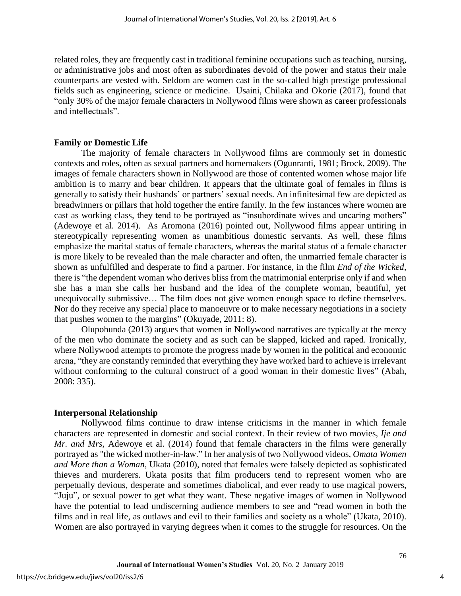related roles, they are frequently cast in traditional feminine occupations such as teaching, nursing, or administrative jobs and most often as subordinates devoid of the power and status their male counterparts are vested with. Seldom are women cast in the so-called high prestige professional fields such as engineering, science or medicine. Usaini, Chilaka and Okorie (2017), found that "only 30% of the major female characters in Nollywood films were shown as career professionals and intellectuals".

## **Family or Domestic Life**

The majority of female characters in Nollywood films are commonly set in domestic contexts and roles, often as sexual partners and homemakers (Ogunranti, 1981; Brock, 2009). The images of female characters shown in Nollywood are those of contented women whose major life ambition is to marry and bear children. It appears that the ultimate goal of females in films is generally to satisfy their husbands' or partners' sexual needs. An infinitesimal few are depicted as breadwinners or pillars that hold together the entire family. In the few instances where women are cast as working class, they tend to be portrayed as "insubordinate wives and uncaring mothers" (Adewoye et al. 2014). As Aromona (2016) pointed out, Nollywood films appear untiring in stereotypically representing women as unambitious domestic servants. As well, these films emphasize the marital status of female characters, whereas the marital status of a female character is more likely to be revealed than the male character and often, the unmarried female character is shown as unfulfilled and desperate to find a partner. For instance, in the film *End of the Wicked*, there is "the dependent woman who derives bliss from the matrimonial enterprise only if and when she has a man she calls her husband and the idea of the complete woman, beautiful, yet unequivocally submissive… The film does not give women enough space to define themselves. Nor do they receive any special place to manoeuvre or to make necessary negotiations in a society that pushes women to the margins" (Okuyade, 2011: 8).

Olupohunda (2013) argues that women in Nollywood narratives are typically at the mercy of the men who dominate the society and as such can be slapped, kicked and raped. Ironically, where Nollywood attempts to promote the progress made by women in the political and economic arena, "they are constantly reminded that everything they have worked hard to achieve is irrelevant without conforming to the cultural construct of a good woman in their domestic lives" (Abah, 2008: 335).

## **Interpersonal Relationship**

Nollywood films continue to draw intense criticisms in the manner in which female characters are represented in domestic and social context. In their review of two movies, *Ije and Mr. and Mrs,* Adewoye et al. (2014) found that female characters in the films were generally portrayed as "the wicked mother-in-law." In her analysis of two Nollywood videos, *Omata Women and More than a Woman*, Ukata (2010), noted that females were falsely depicted as sophisticated thieves and murderers. Ukata posits that film producers tend to represent women who are perpetually devious, desperate and sometimes diabolical, and ever ready to use magical powers, "Juju", or sexual power to get what they want. These negative images of women in Nollywood have the potential to lead undiscerning audience members to see and "read women in both the films and in real life, as outlaws and evil to their families and society as a whole" (Ukata, 2010). Women are also portrayed in varying degrees when it comes to the struggle for resources. On the

4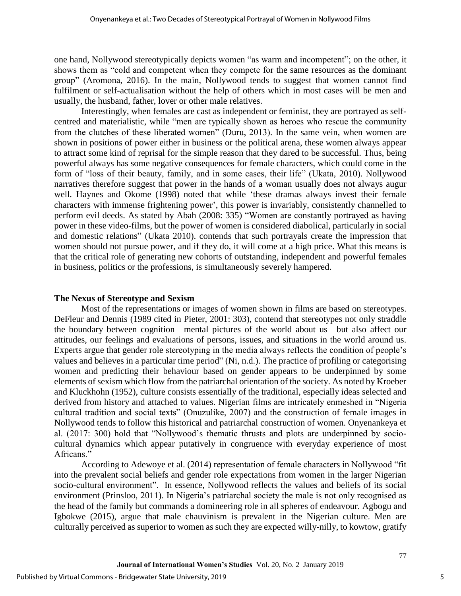one hand, Nollywood stereotypically depicts women "as warm and incompetent"; on the other, it shows them as "cold and competent when they compete for the same resources as the dominant group" (Aromona, 2016). In the main, Nollywood tends to suggest that women cannot find fulfilment or self-actualisation without the help of others which in most cases will be men and usually, the husband, father, lover or other male relatives.

Interestingly, when females are cast as independent or feminist, they are portrayed as selfcentred and materialistic, while "men are typically shown as heroes who rescue the community from the clutches of these liberated women" (Duru, 2013). In the same vein, when women are shown in positions of power either in business or the political arena, these women always appear to attract some kind of reprisal for the simple reason that they dared to be successful. Thus, being powerful always has some negative consequences for female characters, which could come in the form of "loss of their beauty, family, and in some cases, their life" (Ukata, 2010). Nollywood narratives therefore suggest that power in the hands of a woman usually does not always augur well. Haynes and Okome (1998) noted that while 'these dramas always invest their female characters with immense frightening power', this power is invariably, consistently channelled to perform evil deeds. As stated by Abah (2008: 335) "Women are constantly portrayed as having power in these video-films, but the power of women is considered diabolical, particularly in social and domestic relations" (Ukata 2010). contends that such portrayals create the impression that women should not pursue power, and if they do, it will come at a high price. What this means is that the critical role of generating new cohorts of outstanding, independent and powerful females in business, politics or the professions, is simultaneously severely hampered.

## **The Nexus of Stereotype and Sexism**

Most of the representations or images of women shown in films are based on stereotypes. DeFleur and Dennis (1989 cited in Pieter, 2001: 303), contend that stereotypes not only straddle the boundary between cognition—mental pictures of the world about us—but also affect our attitudes, our feelings and evaluations of persons, issues, and situations in the world around us. Experts argue that gender role stereotyping in the media always reflects the condition of people's values and believes in a particular time period" (Ni, n.d.). The practice of profiling or categorising women and predicting their behaviour based on gender appears to be underpinned by some elements of sexism which flow from the patriarchal orientation of the society. As noted by Kroeber and Kluckhohn (1952), culture consists essentially of the traditional, especially ideas selected and derived from history and attached to values. Nigerian films are intricately enmeshed in "Nigeria cultural tradition and social texts" (Onuzulike, 2007) and the construction of female images in Nollywood tends to follow this historical and patriarchal construction of women. Onyenankeya et al. (2017: 300) hold that "Nollywood's thematic thrusts and plots are underpinned by sociocultural dynamics which appear putatively in congruence with everyday experience of most Africans."

According to Adewoye et al. (2014) representation of female characters in Nollywood "fit into the prevalent social beliefs and gender role expectations from women in the larger Nigerian socio-cultural environment". In essence, Nollywood reflects the values and beliefs of its social environment (Prinsloo, 2011). In Nigeria's patriarchal society the male is not only recognised as the head of the family but commands a domineering role in all spheres of endeavour. Agbogu and Igbokwe (2015), argue that male chauvinism is prevalent in the Nigerian culture. Men are culturally perceived as superior to women as such they are expected willy-nilly, to kowtow, gratify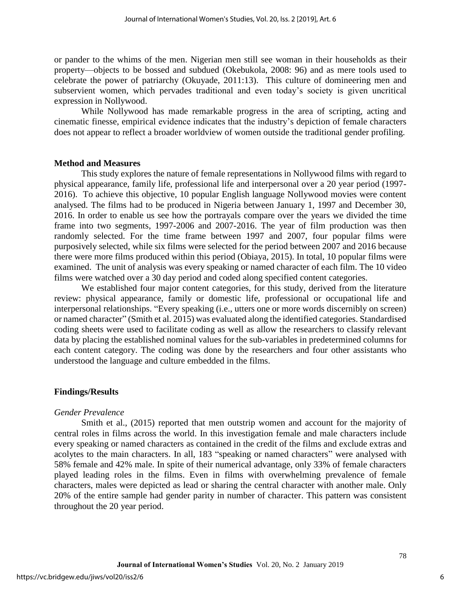or pander to the whims of the men. Nigerian men still see woman in their households as their property—objects to be bossed and subdued (Okebukola, 2008: 96) and as mere tools used to celebrate the power of patriarchy (Okuyade, 2011:13). This culture of domineering men and subservient women, which pervades traditional and even today's society is given uncritical expression in Nollywood.

While Nollywood has made remarkable progress in the area of scripting, acting and cinematic finesse, empirical evidence indicates that the industry's depiction of female characters does not appear to reflect a broader worldview of women outside the traditional gender profiling.

#### **Method and Measures**

This study explores the nature of female representations in Nollywood films with regard to physical appearance, family life, professional life and interpersonal over a 20 year period (1997- 2016). To achieve this objective, 10 popular English language Nollywood movies were content analysed. The films had to be produced in Nigeria between January 1, 1997 and December 30, 2016. In order to enable us see how the portrayals compare over the years we divided the time frame into two segments, 1997-2006 and 2007-2016. The year of film production was then randomly selected. For the time frame between 1997 and 2007, four popular films were purposively selected, while six films were selected for the period between 2007 and 2016 because there were more films produced within this period (Obiaya, 2015). In total, 10 popular films were examined. The unit of analysis was every speaking or named character of each film. The 10 video films were watched over a 30 day period and coded along specified content categories.

We established four major content categories, for this study, derived from the literature review: physical appearance, family or domestic life, professional or occupational life and interpersonal relationships. "Every speaking (i.e., utters one or more words discernibly on screen) or named character" (Smith et al. 2015) was evaluated along the identified categories. Standardised coding sheets were used to facilitate coding as well as allow the researchers to classify relevant data by placing the established nominal values for the sub-variables in predetermined columns for each content category. The coding was done by the researchers and four other assistants who understood the language and culture embedded in the films.

#### **Findings/Results**

#### *Gender Prevalence*

Smith et al., (2015) reported that men outstrip women and account for the majority of central roles in films across the world. In this investigation female and male characters include every speaking or named characters as contained in the credit of the films and exclude extras and acolytes to the main characters. In all, 183 "speaking or named characters" were analysed with 58% female and 42% male. In spite of their numerical advantage, only 33% of female characters played leading roles in the films. Even in films with overwhelming prevalence of female characters, males were depicted as lead or sharing the central character with another male. Only 20% of the entire sample had gender parity in number of character. This pattern was consistent throughout the 20 year period.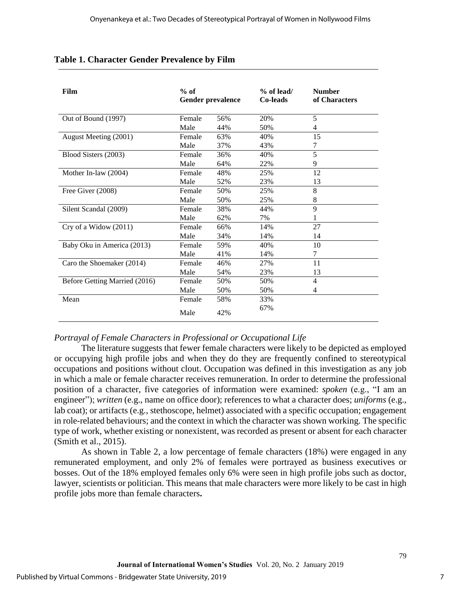| Film                          | $%$ of<br><b>Gender prevalence</b> |     | $%$ of lead/<br>Co-leads | <b>Number</b><br>of Characters |
|-------------------------------|------------------------------------|-----|--------------------------|--------------------------------|
| Out of Bound (1997)           | Female                             | 56% | 20%                      | 5                              |
|                               | Male                               | 44% | 50%                      | 4                              |
| August Meeting (2001)         | Female                             | 63% | 40%                      | 15                             |
|                               | Male                               | 37% | 43%                      | 7                              |
| Blood Sisters (2003)          | Female                             | 36% | 40%                      | 5                              |
|                               | Male                               | 64% | 22%                      | 9                              |
| Mother In-law (2004)          | Female                             | 48% | 25%                      | 12                             |
|                               | Male                               | 52% | 23%                      | 13                             |
| Free Giver (2008)             | Female                             | 50% | 25%                      | 8                              |
|                               | Male                               | 50% | 25%                      | 8                              |
| Silent Scandal (2009)         | Female                             | 38% | 44%                      | 9                              |
|                               | Male                               | 62% | 7%                       |                                |
| Cry of a Widow $(2011)$       | Female                             | 66% | 14%                      | 27                             |
|                               | Male                               | 34% | 14%                      | 14                             |
| Baby Oku in America (2013)    | Female                             | 59% | 40%                      | 10                             |
|                               | Male                               | 41% | 14%                      | 7                              |
| Caro the Shoemaker (2014)     | Female                             | 46% | 27%                      | 11                             |
|                               | Male                               | 54% | 23%                      | 13                             |
| Before Getting Married (2016) | Female                             | 50% | 50%                      | 4                              |
|                               | Male                               | 50% | 50%                      | 4                              |
| Mean                          | Female                             | 58% | 33%                      |                                |
|                               | Male                               | 42% | 67%                      |                                |

## **Table 1. Character Gender Prevalence by Film**

## *Portrayal of Female Characters in Professional or Occupational Life*

The literature suggests that fewer female characters were likely to be depicted as employed or occupying high profile jobs and when they do they are frequently confined to stereotypical occupations and positions without clout. Occupation was defined in this investigation as any job in which a male or female character receives remuneration. In order to determine the professional position of a character, five categories of information were examined: *spoken* (e.g., "I am an engineer"); *written* (e.g., name on office door); references to what a character does; *uniforms* (e.g., lab coat); or artifacts (e.g., stethoscope, helmet) associated with a specific occupation; engagement in role-related behaviours; and the context in which the character was shown working. The specific type of work, whether existing or nonexistent, was recorded as present or absent for each character (Smith et al., 2015).

As shown in Table 2, a low percentage of female characters (18%) were engaged in any remunerated employment, and only 2% of females were portrayed as business executives or bosses. Out of the 18% employed females only 6% were seen in high profile jobs such as doctor, lawyer, scientists or politician. This means that male characters were more likely to be cast in high profile jobs more than female characters**.**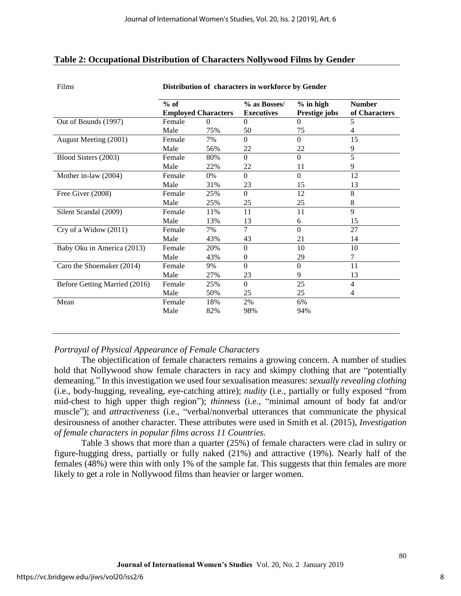## **Table 2: Occupational Distribution of Characters Nollywood Films by Gender**

Films **Distribution of characters in workforce by Gender**

|                               | $%$ of                     |          | % as Bosses/      | $%$ in high   | <b>Number</b>  |  |  |  |
|-------------------------------|----------------------------|----------|-------------------|---------------|----------------|--|--|--|
|                               | <b>Employed Characters</b> |          | <b>Executives</b> | Prestige jobs | of Characters  |  |  |  |
| Out of Bounds (1997)          | Female                     | $\Omega$ | $\Omega$          | $\Omega$      | 5              |  |  |  |
|                               | Male                       | 75%      | 50                | 75            | 4              |  |  |  |
| August Meeting (2001)         | Female                     | 7%       | $\Omega$          | $\Omega$      | 15             |  |  |  |
|                               | Male                       | 56%      | 22                | 22            | 9              |  |  |  |
| Blood Sisters (2003)          | Female                     | 80%      | $\Omega$          | $\Omega$      | 5              |  |  |  |
|                               | Male                       | 22%      | 22                | 11            | 9              |  |  |  |
| Mother in-law (2004)          | Female                     | 0%       | $\Omega$          | $\Omega$      | 12             |  |  |  |
|                               | Male                       | 31%      | 23                | 15            | 13             |  |  |  |
| Free Giver (2008)             | Female                     | 25%      | $\Omega$          | 12            | 8              |  |  |  |
|                               | Male                       | 25%      | 25                | 25            | 8              |  |  |  |
| Silent Scandal (2009)         | Female                     | 11%      | 11                | 11            | 9              |  |  |  |
|                               | Male                       | 13%      | 13                | 6             | 15             |  |  |  |
| Cry of a Widow (2011)         | Female                     | 7%       | $\tau$            | $\Omega$      | 27             |  |  |  |
|                               | Male                       | 43%      | 43                | 21            | 14             |  |  |  |
| Baby Oku in America (2013)    | Female                     | 20%      | $\Omega$          | 10            | 10             |  |  |  |
|                               | Male                       | 43%      | $\Omega$          | 29            | 7              |  |  |  |
| Caro the Shoemaker (2014)     | Female                     | 9%       | $\Omega$          | $\Omega$      | 11             |  |  |  |
|                               | Male                       | 27%      | 23                | 9             | 13             |  |  |  |
| Before Getting Married (2016) | Female                     | 25%      | $\Omega$          | 25            | $\overline{4}$ |  |  |  |
|                               | Male                       | 50%      | 25                | 25            | 4              |  |  |  |
| Mean                          | Female                     | 18%      | 2%                | 6%            |                |  |  |  |
|                               | Male                       | 82%      | 98%               | 94%           |                |  |  |  |
|                               |                            |          |                   |               |                |  |  |  |

## *Portrayal of Physical Appearance of Female Characters*

The objectification of female characters remains a growing concern. A number of studies hold that Nollywood show female characters in racy and skimpy clothing that are "potentially demeaning." In this investigation we used four sexualisation measures: *sexually revealing clothing* (i.e., body-hugging, revealing, eye-catching attire); *nudity* (i.e., partially or fully exposed "from mid-chest to high upper thigh region"); *thinness* (i.e., "minimal amount of body fat and/or muscle"); and *attractiveness* (i.e., "verbal/nonverbal utterances that communicate the physical desirousness of another character. These attributes were used in Smith et al. (2015), *Investigation of female characters in popular films across 11 Countries.*

Table 3 shows that more than a quarter (25%) of female characters were clad in sultry or figure-hugging dress, partially or fully naked (21%) and attractive (19%). Nearly half of the females (48%) were thin with only 1% of the sample fat. This suggests that thin females are more likely to get a role in Nollywood films than heavier or larger women.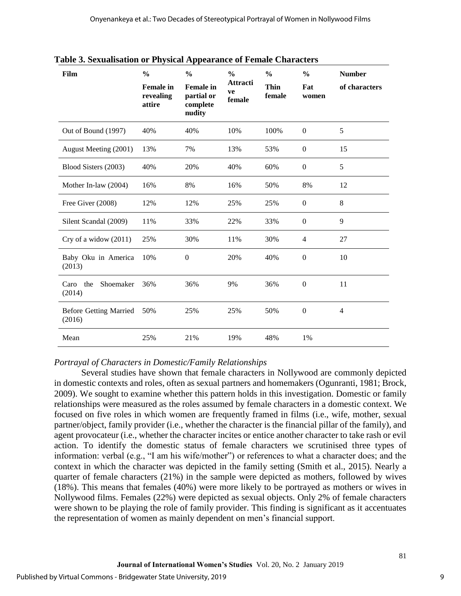| Film                                    | $\frac{6}{9}$<br><b>Female</b> in<br>revealing<br>attire | $\frac{0}{0}$<br><b>Female</b> in<br>partial or<br>complete<br>nudity | $\frac{0}{0}$<br><b>Attracti</b><br>ve<br>female | $\frac{0}{0}$<br>Thin<br>female | $\frac{0}{0}$<br>Fat<br>women | <b>Number</b><br>of characters |
|-----------------------------------------|----------------------------------------------------------|-----------------------------------------------------------------------|--------------------------------------------------|---------------------------------|-------------------------------|--------------------------------|
| Out of Bound (1997)                     | 40%                                                      | 40%                                                                   | 10%                                              | 100%                            | $\mathbf{0}$                  | 5                              |
| August Meeting (2001)                   | 13%                                                      | 7%                                                                    | 13%                                              | 53%                             | $\mathbf{0}$                  | 15                             |
| Blood Sisters (2003)                    | 40%                                                      | 20%                                                                   | 40%                                              | 60%                             | $\Omega$                      | 5                              |
| Mother In-law (2004)                    | 16%                                                      | 8%                                                                    | 16%                                              | 50%                             | 8%                            | 12                             |
| Free Giver (2008)                       | 12%                                                      | 12%                                                                   | 25%                                              | 25%                             | $\Omega$                      | 8                              |
| Silent Scandal (2009)                   | 11%                                                      | 33%                                                                   | 22%                                              | 33%                             | $\mathbf{0}$                  | 9                              |
| Cry of a widow (2011)                   | 25%                                                      | 30%                                                                   | 11%                                              | 30%                             | $\overline{4}$                | 27                             |
| Baby Oku in America<br>(2013)           | 10%                                                      | $\mathbf{0}$                                                          | 20%                                              | 40%                             | $\Omega$                      | 10                             |
| the<br>Shoemaker<br>Caro<br>(2014)      | 36%                                                      | 36%                                                                   | 9%                                               | 36%                             | $\mathbf{0}$                  | 11                             |
| <b>Before Getting Married</b><br>(2016) | 50%                                                      | 25%                                                                   | 25%                                              | 50%                             | $\mathbf{0}$                  | 4                              |
| Mean                                    | 25%                                                      | 21%                                                                   | 19%                                              | 48%                             | 1%                            |                                |

**Table 3. Sexualisation or Physical Appearance of Female Characters**

## *Portrayal of Characters in Domestic/Family Relationships*

Several studies have shown that female characters in Nollywood are commonly depicted in domestic contexts and roles, often as sexual partners and homemakers (Ogunranti, 1981; Brock, 2009). We sought to examine whether this pattern holds in this investigation. Domestic or family relationships were measured as the roles assumed by female characters in a domestic context. We focused on five roles in which women are frequently framed in films (i.e., wife, mother, sexual partner/object, family provider (i.e., whether the character is the financial pillar of the family), and agent provocateur (i.e., whether the character incites or entice another character to take rash or evil action. To identify the domestic status of female characters we scrutinised three types of information: verbal (e.g., "I am his wife/mother") or references to what a character does; and the context in which the character was depicted in the family setting (Smith et al., 2015). Nearly a quarter of female characters (21%) in the sample were depicted as mothers, followed by wives (18%). This means that females (40%) were more likely to be portrayed as mothers or wives in Nollywood films. Females (22%) were depicted as sexual objects. Only 2% of female characters were shown to be playing the role of family provider. This finding is significant as it accentuates the representation of women as mainly dependent on men's financial support.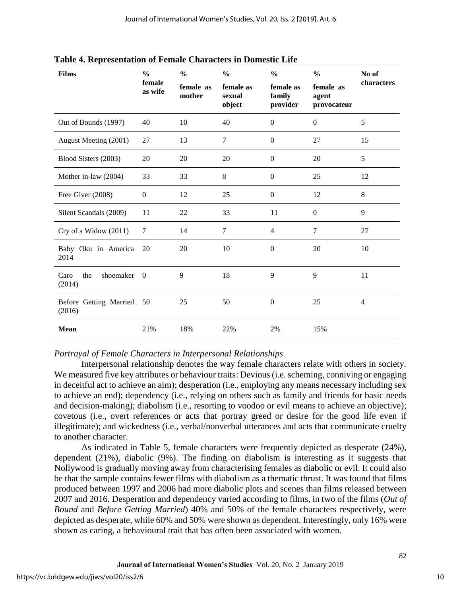| <b>Films</b>                       | $\frac{0}{0}$     | $\frac{0}{0}$<br>$\frac{0}{0}$ |                                                                  | $\frac{0}{0}$    | $\frac{0}{0}$                     | No of          |  |
|------------------------------------|-------------------|--------------------------------|------------------------------------------------------------------|------------------|-----------------------------------|----------------|--|
|                                    | female<br>as wife | female as<br>mother            | female as<br>female as<br>family<br>sexual<br>object<br>provider |                  | female as<br>agent<br>provocateur | characters     |  |
| Out of Bounds (1997)               | 40                | 10                             | 40                                                               | $\overline{0}$   | $\overline{0}$                    | 5              |  |
| August Meeting (2001)              | 27                | 13                             | 7                                                                | $\boldsymbol{0}$ | 27                                | 15             |  |
| Blood Sisters (2003)               | 20                | 20                             | 20                                                               | $\mathbf{0}$     | 20                                | 5              |  |
| Mother in-law (2004)               | 33                | 33                             | 8                                                                | $\mathbf{0}$     | 25                                | 12             |  |
| Free Giver (2008)                  | $\mathbf{0}$      | 12                             | 25                                                               | $\overline{0}$   | 12                                | 8              |  |
| Silent Scandals (2009)             | 11                | 22                             | 33                                                               | 11               | $\overline{0}$                    | 9              |  |
| Cry of a Widow (2011)              | $\tau$            | 14                             | 7                                                                | $\overline{4}$   | $\tau$                            | 27             |  |
| Baby Oku in America<br>2014        | 20                | 20                             | 10                                                               | $\mathbf{0}$     | 20                                | 10             |  |
| shoemaker<br>the<br>Caro<br>(2014) | $\mathbf{0}$      | 9                              | 18                                                               | 9                | 9                                 | 11             |  |
| Before Getting Married<br>(2016)   | 50                | 25                             | 50                                                               | $\boldsymbol{0}$ | 25                                | $\overline{4}$ |  |
| <b>Mean</b>                        | 21%               | 18%                            | 22%                                                              | 2%               | 15%                               |                |  |

**Table 4. Representation of Female Characters in Domestic Life**

*Portrayal of Female Characters in Interpersonal Relationships*

Interpersonal relationship denotes the way female characters relate with others in society. We measured five key attributes or behaviour traits: Devious (i.e. scheming, conniving or engaging in deceitful act to achieve an aim); desperation (i.e., employing any means necessary including sex to achieve an end); dependency (i.e., relying on others such as family and friends for basic needs and decision-making); diabolism (i.e., resorting to voodoo or evil means to achieve an objective); covetous (i.e., overt references or acts that portray greed or desire for the good life even if illegitimate); and wickedness (i.e., verbal/nonverbal utterances and acts that communicate cruelty to another character.

As indicated in Table 5, female characters were frequently depicted as desperate (24%), dependent (21%), diabolic (9%). The finding on diabolism is interesting as it suggests that Nollywood is gradually moving away from characterising females as diabolic or evil. It could also be that the sample contains fewer films with diabolism as a thematic thrust. It was found that films produced between 1997 and 2006 had more diabolic plots and scenes than films released between 2007 and 2016. Desperation and dependency varied according to films, in two of the films (*Out of Bound* and *Before Getting Married*) 40% and 50% of the female characters respectively, were depicted as desperate, while 60% and 50% were shown as dependent. Interestingly, only 16% were shown as caring, a behavioural trait that has often been associated with women.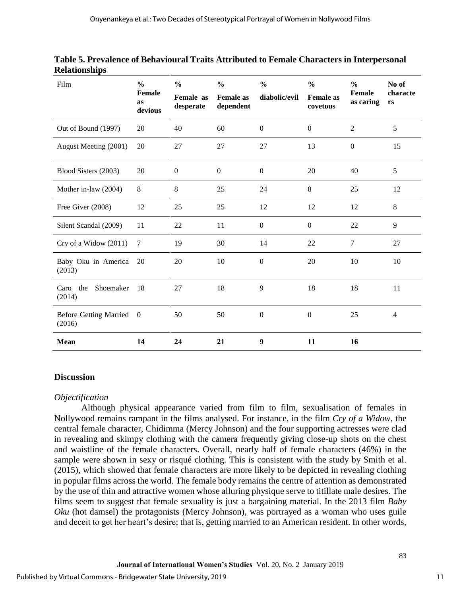| Film                                    | $\frac{0}{0}$<br>Female<br>as<br>devious | $\frac{0}{0}$<br>Female as<br>desperate | $\frac{0}{0}$<br><b>Female</b> as<br>dependent | $\frac{0}{0}$<br>diabolic/evil | $\frac{0}{0}$<br><b>Female</b> as<br>covetous | $\frac{0}{0}$<br><b>Female</b><br>as caring | No of<br>characte<br>rs |
|-----------------------------------------|------------------------------------------|-----------------------------------------|------------------------------------------------|--------------------------------|-----------------------------------------------|---------------------------------------------|-------------------------|
| Out of Bound (1997)                     | 20                                       | 40                                      | 60                                             | $\overline{0}$                 | $\mathbf{0}$                                  | $\overline{2}$                              | 5                       |
| August Meeting (2001)                   | 20                                       | 27                                      | 27                                             | 27                             | 13                                            | $\mathbf{0}$                                | 15                      |
| Blood Sisters (2003)                    | 20                                       | $\boldsymbol{0}$                        | $\mathbf{0}$                                   | $\boldsymbol{0}$               | 20                                            | 40                                          | 5                       |
| Mother in-law (2004)                    | 8                                        | 8                                       | 25                                             | 24                             | 8                                             | 25                                          | 12                      |
| Free Giver (2008)                       | 12                                       | 25                                      | 25                                             | 12                             | 12                                            | 12                                          | 8                       |
| Silent Scandal (2009)                   | 11                                       | 22                                      | 11                                             | $\boldsymbol{0}$               | $\overline{0}$                                | 22                                          | 9                       |
| Cry of a Widow (2011)                   | $\overline{7}$                           | 19                                      | 30                                             | 14                             | 22                                            | $\tau$                                      | 27                      |
| Baby Oku in America<br>(2013)           | 20                                       | 20                                      | 10                                             | $\boldsymbol{0}$               | 20                                            | 10                                          | 10                      |
| Shoemaker<br>Caro the<br>(2014)         | 18                                       | 27                                      | 18                                             | 9                              | 18                                            | 18                                          | 11                      |
| <b>Before Getting Married</b><br>(2016) | $\overline{0}$                           | 50                                      | 50                                             | $\boldsymbol{0}$               | $\boldsymbol{0}$                              | 25                                          | $\overline{4}$          |
| <b>Mean</b>                             | 14                                       | 24                                      | 21                                             | $\boldsymbol{9}$               | 11                                            | 16                                          |                         |

**Table 5. Prevalence of Behavioural Traits Attributed to Female Characters in Interpersonal Relationships**

## **Discussion**

## *Objectification*

Although physical appearance varied from film to film, sexualisation of females in Nollywood remains rampant in the films analysed. For instance, in the film *Cry of a Widow*, the central female character, Chidimma (Mercy Johnson) and the four supporting actresses were clad in revealing and skimpy clothing with the camera frequently giving close-up shots on the chest and waistline of the female characters. Overall, nearly half of female characters (46%) in the sample were shown in sexy or risqué clothing. This is consistent with the study by Smith et al. (2015), which showed that female characters are more likely to be depicted in revealing clothing in popular films across the world. The female body remains the centre of attention as demonstrated by the use of thin and attractive women whose alluring physique serve to titillate male desires. The films seem to suggest that female sexuality is just a bargaining material. In the 2013 film *Baby Oku* (hot damsel) the protagonists (Mercy Johnson), was portrayed as a woman who uses guile and deceit to get her heart's desire; that is, getting married to an American resident. In other words,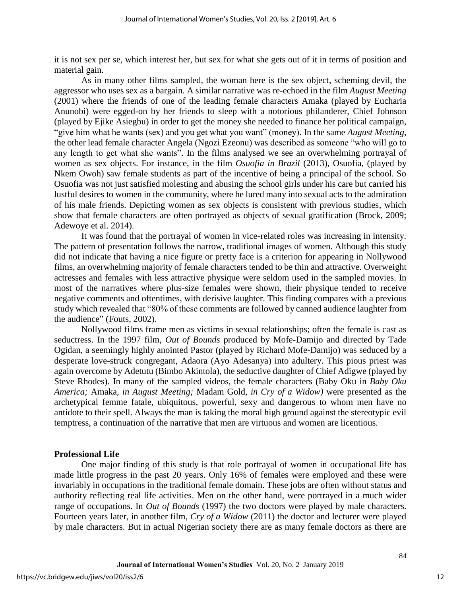it is not sex per se, which interest her, but sex for what she gets out of it in terms of position and material gain.

As in many other films sampled, the woman here is the sex object, scheming devil, the aggressor who uses sex as a bargain. A similar narrative was re-echoed in the film *August Meeting* (2001) where the friends of one of the leading female characters Amaka (played by Eucharia Anunobi) were egged-on by her friends to sleep with a notorious philanderer, Chief Johnson (played by Ejike Asiegbu) in order to get the money she needed to finance her political campaign, "give him what he wants (sex) and you get what you want" (money). In the same *August Meeting*, the other lead female character Angela (Ngozi Ezeonu) was described as someone "who will go to any length to get what she wants". In the films analysed we see an overwhelming portrayal of women as sex objects. For instance, in the film *Osuofia in Brazil* (2013), Osuofia, (played by Nkem Owoh) saw female students as part of the incentive of being a principal of the school. So Osuofia was not just satisfied molesting and abusing the school girls under his care but carried his lustful desires to women in the community, where he lured many into sexual acts to the admiration of his male friends. Depicting women as sex objects is consistent with previous studies, which show that female characters are often portrayed as objects of sexual gratification (Brock, 2009; Adewoye et al. 2014).

It was found that the portrayal of women in vice-related roles was increasing in intensity. The pattern of presentation follows the narrow, traditional images of women. Although this study did not indicate that having a nice figure or pretty face is a criterion for appearing in Nollywood films, an overwhelming majority of female characters tended to be thin and attractive. Overweight actresses and females with less attractive physique were seldom used in the sampled movies. In most of the narratives where plus-size females were shown, their physique tended to receive negative comments and oftentimes, with derisive laughter. This finding compares with a previous study which revealed that "80% of these comments are followed by canned audience laughter from the audience" (Fouts, 2002).

Nollywood films frame men as victims in sexual relationships; often the female is cast as seductress. In the 1997 film, *Out of Bounds* produced by Mofe-Damijo and directed by Tade Ogidan, a seemingly highly anointed Pastor (played by Richard Mofe-Damijo) was seduced by a desperate love-struck congregant, Adaora (Ayo Adesanya) into adultery. This pious priest was again overcome by Adetutu (Bimbo Akintola), the seductive daughter of Chief Adigwe (played by Steve Rhodes). In many of the sampled videos, the female characters (Baby Oku in *Baby Oku America;* Amaka*, in August Meeting;* Madam Gold, *in Cry of a Widow)* were presented as the archetypical femme fatale, ubiquitous, powerful, sexy and dangerous to whom men have no antidote to their spell. Always the man is taking the moral high ground against the stereotypic evil temptress, a continuation of the narrative that men are virtuous and women are licentious.

## **Professional Life**

One major finding of this study is that role portrayal of women in occupational life has made little progress in the past 20 years. Only 16% of females were employed and these were invariably in occupations in the traditional female domain. These jobs are often without status and authority reflecting real life activities. Men on the other hand, were portrayed in a much wider range of occupations. In *Out of Bounds* (1997) the two doctors were played by male characters. Fourteen years later, in another film, *Cry of a Widow* (2011) the doctor and lecturer were played by male characters. But in actual Nigerian society there are as many female doctors as there are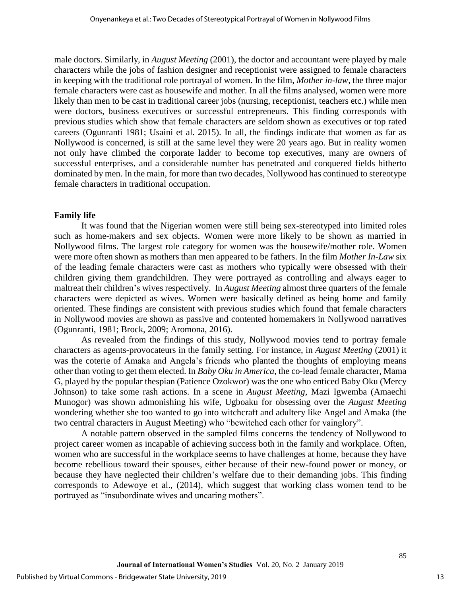male doctors. Similarly, in *August Meeting* (2001), the doctor and accountant were played by male characters while the jobs of fashion designer and receptionist were assigned to female characters in keeping with the traditional role portrayal of women. In the film, *Mother in-law*, the three major female characters were cast as housewife and mother. In all the films analysed, women were more likely than men to be cast in traditional career jobs (nursing, receptionist, teachers etc.) while men were doctors, business executives or successful entrepreneurs. This finding corresponds with previous studies which show that female characters are seldom shown as executives or top rated careers (Ogunranti 1981; Usaini et al. 2015). In all, the findings indicate that women as far as Nollywood is concerned, is still at the same level they were 20 years ago. But in reality women not only have climbed the corporate ladder to become top executives, many are owners of successful enterprises, and a considerable number has penetrated and conquered fields hitherto dominated by men. In the main, for more than two decades, Nollywood has continued to stereotype female characters in traditional occupation.

## **Family life**

It was found that the Nigerian women were still being sex-stereotyped into limited roles such as home-makers and sex objects. Women were more likely to be shown as married in Nollywood films. The largest role category for women was the housewife/mother role. Women were more often shown as mothers than men appeared to be fathers. In the film *Mother In-Law* six of the leading female characters were cast as mothers who typically were obsessed with their children giving them grandchildren. They were portrayed as controlling and always eager to maltreat their children's wives respectively. In *August Meeting* almost three quarters of the female characters were depicted as wives. Women were basically defined as being home and family oriented. These findings are consistent with previous studies which found that female characters in Nollywood movies are shown as passive and contented homemakers in Nollywood narratives (Ogunranti, 1981; Brock, 2009; Aromona, 2016).

As revealed from the findings of this study, Nollywood movies tend to portray female characters as agents-provocateurs in the family setting. For instance, in *August Meeting* (2001) it was the coterie of Amaka and Angela's friends who planted the thoughts of employing means other than voting to get them elected. In *Baby Oku in America*, the co-lead female character, Mama G, played by the popular thespian (Patience Ozokwor) was the one who enticed Baby Oku (Mercy Johnson) to take some rash actions. In a scene in *August Meeting*, Mazi Igwemba (Amaechi Munogor) was shown admonishing his wife, Ugboaku for obsessing over the *August Meeting* wondering whether she too wanted to go into witchcraft and adultery like Angel and Amaka (the two central characters in August Meeting) who "bewitched each other for vainglory".

A notable pattern observed in the sampled films concerns the tendency of Nollywood to project career women as incapable of achieving success both in the family and workplace. Often, women who are successful in the workplace seems to have challenges at home, because they have become rebellious toward their spouses, either because of their new-found power or money, or because they have neglected their children's welfare due to their demanding jobs. This finding corresponds to Adewoye et al., (2014), which suggest that working class women tend to be portrayed as "insubordinate wives and uncaring mothers".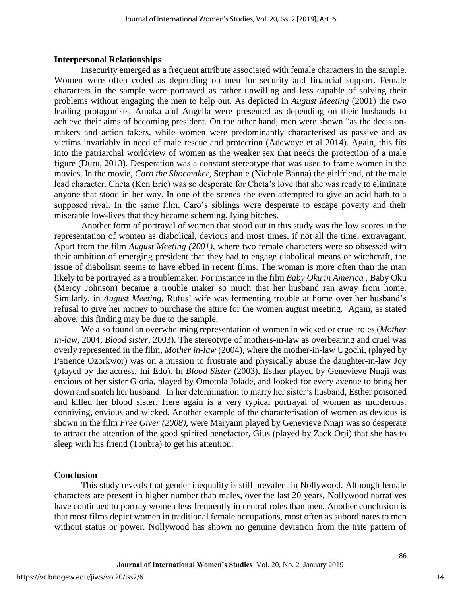## **Interpersonal Relationships**

Insecurity emerged as a frequent attribute associated with female characters in the sample. Women were often coded as depending on men for security and financial support. Female characters in the sample were portrayed as rather unwilling and less capable of solving their problems without engaging the men to help out. As depicted in *August Meeting* (2001) the two leading protagonists, Amaka and Angella were presented as depending on their husbands to achieve their aims of becoming president. On the other hand, men were shown "as the decisionmakers and action takers, while women were predominantly characterised as passive and as victims invariably in need of male rescue and protection (Adewoye et al 2014). Again, this fits into the patriarchal worldview of women as the weaker sex that needs the protection of a male figure (Duru, 2013). Desperation was a constant stereotype that was used to frame women in the movies. In the movie, *Caro the Shoemaker*, Stephanie (Nichole Banna) the girlfriend, of the male lead character, Cheta (Ken Eric) was so desperate for Cheta's love that she was ready to eliminate anyone that stood in her way. In one of the scenes she even attempted to give an acid bath to a supposed rival. In the same film, Caro's siblings were desperate to escape poverty and their miserable low-lives that they became scheming, lying bitches.

Another form of portrayal of women that stood out in this study was the low scores in the representation of women as diabolical, devious and most times, if not all the time, extravagant. Apart from the film *August Meeting (2001),* where two female characters were so obsessed with their ambition of emerging president that they had to engage diabolical means or witchcraft, the issue of diabolism seems to have ebbed in recent films. The woman is more often than the man likely to be portrayed as a troublemaker. For instance in the film *Baby Oku in America* , Baby Oku (Mercy Johnson) became a trouble maker so much that her husband ran away from home. Similarly, in *August Meeting*, Rufus' wife was fermenting trouble at home over her husband's refusal to give her money to purchase the attire for the women august meeting. Again, as stated above, this finding may be due to the sample.

We also found an overwhelming representation of women in wicked or cruel roles (*Mother in-law*, 2004; *Blood sister*, 2003). The stereotype of mothers-in-law as overbearing and cruel was overly represented in the film, *Mother in-law* (2004), where the mother-in-law Ugochi, (played by Patience Ozorkwor) was on a mission to frustrate and physically abuse the daughter-in-law Joy (played by the actress, Ini Edo). In *Blood Sister* (2003), Esther played by Genevieve Nnaji was envious of her sister Gloria, played by Omotola Jolade, and looked for every avenue to bring her down and snatch her husband. In her determination to marry her sister's husband, Esther poisoned and killed her blood sister. Here again is a very typical portrayal of women as murderous, conniving, envious and wicked. Another example of the characterisation of women as devious is shown in the film *Free Giver (2008)*, were Maryann played by Genevieve Nnaji was so desperate to attract the attention of the good spirited benefactor, Gius (played by Zack Orji) that she has to sleep with his friend (Tonbra) to get his attention.

#### **Conclusion**

This study reveals that gender inequality is still prevalent in Nollywood. Although female characters are present in higher number than males, over the last 20 years, Nollywood narratives have continued to portray women less frequently in central roles than men. Another conclusion is that most films depict women in traditional female occupations, most often as subordinates to men without status or power. Nollywood has shown no genuine deviation from the trite pattern of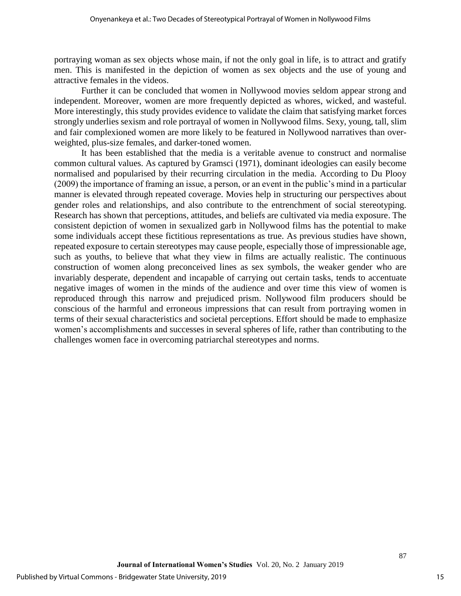portraying woman as sex objects whose main, if not the only goal in life, is to attract and gratify men. This is manifested in the depiction of women as sex objects and the use of young and attractive females in the videos.

Further it can be concluded that women in Nollywood movies seldom appear strong and independent. Moreover, women are more frequently depicted as whores, wicked, and wasteful. More interestingly, this study provides evidence to validate the claim that satisfying market forces strongly underlies sexism and role portrayal of women in Nollywood films. Sexy, young, tall, slim and fair complexioned women are more likely to be featured in Nollywood narratives than overweighted, plus-size females, and darker-toned women.

It has been established that the media is a veritable avenue to construct and normalise common cultural values. As captured by Gramsci (1971), dominant ideologies can easily become normalised and popularised by their recurring circulation in the media. According to Du Plooy (2009) the importance of framing an issue, a person, or an event in the public's mind in a particular manner is elevated through repeated coverage. Movies help in structuring our perspectives about gender roles and relationships, and also contribute to the entrenchment of social stereotyping. Research has shown that perceptions, attitudes, and beliefs are cultivated via media exposure. The consistent depiction of women in sexualized garb in Nollywood films has the potential to make some individuals accept these fictitious representations as true. As previous studies have shown, repeated exposure to certain stereotypes may cause people, especially those of impressionable age, such as youths, to believe that what they view in films are actually realistic. The continuous construction of women along preconceived lines as sex symbols, the weaker gender who are invariably desperate, dependent and incapable of carrying out certain tasks, tends to accentuate negative images of women in the minds of the audience and over time this view of women is reproduced through this narrow and prejudiced prism. Nollywood film producers should be conscious of the harmful and erroneous impressions that can result from portraying women in terms of their sexual characteristics and societal perceptions. Effort should be made to emphasize women's accomplishments and successes in several spheres of life, rather than contributing to the challenges women face in overcoming patriarchal stereotypes and norms.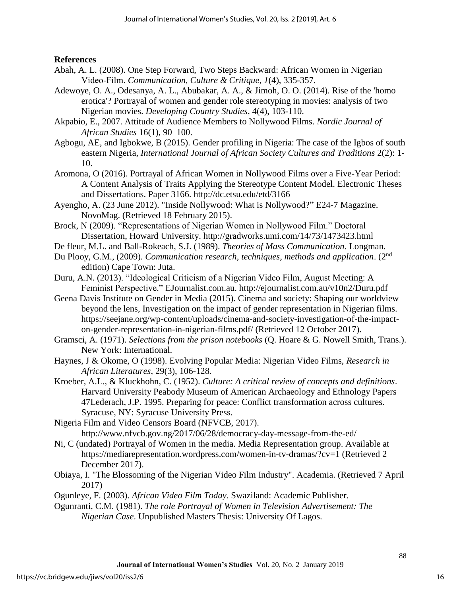## **References**

- Abah, A. L. (2008). One Step Forward, Two Steps Backward: African Women in Nigerian Video‐Film. *Communication, Culture & Critique*, *1*(4), 335-357.
- Adewoye, O. A., Odesanya, A. L., Abubakar, A. A., & Jimoh, O. O. (2014). Rise of the 'homo erotica'? Portrayal of women and gender role stereotyping in movies: analysis of two Nigerian movies. *Developing Country Studies*, 4(4), 103-110.
- Akpabio, E., 2007. Attitude of Audience Members to Nollywood Films. *Nordic Journal of African Studies* 16(1), 90–100.
- Agbogu, AE, and Igbokwe, B (2015). Gender profiling in Nigeria: The case of the Igbos of south eastern Nigeria, *International Journal of African Society Cultures and Traditions* 2(2): 1- 10.
- Aromona, O (2016). Portrayal of African Women in Nollywood Films over a Five-Year Period: A Content Analysis of Traits Applying the Stereotype Content Model. Electronic Theses and Dissertations. Paper 3166. http://dc.etsu.edu/etd/3166
- Ayengho, A. (23 June 2012). "Inside Nollywood: What is Nollywood?" E24-7 Magazine. NovoMag. (Retrieved 18 February 2015).
- Brock, N (2009). "Representations of Nigerian Women in Nollywood Film." Doctoral Dissertation, Howard University. http://gradworks.umi.com/14/73/1473423.html
- De fleur, M.L. and Ball-Rokeach, S.J. (1989). *Theories of Mass Communication*. Longman.
- Du Plooy, G.M., (2009). *Communication research, techniques, methods and application*. (2nd edition) Cape Town: Juta.
- Duru, A.N. (2013). "Ideological Criticism of a Nigerian Video Film, August Meeting: A Feminist Perspective." EJournalist.com.au. http://ejournalist.com.au/v10n2/Duru.pdf
- Geena Davis Institute on Gender in Media (2015). Cinema and society: Shaping our worldview beyond the lens, Investigation on the impact of gender representation in Nigerian films. https://seejane.org/wp-content/uploads/cinema-and-society-investigation-of-the-impacton-gender-representation-in-nigerian-films.pdf/ (Retrieved 12 October 2017).
- Gramsci, A. (1971). *Selections from the prison notebooks* (Q. Hoare & G. Nowell Smith, Trans.). New York: International.
- Haynes, J & Okome, O (1998). Evolving Popular Media: Nigerian Video Films, *Research in African Literatures*, 29(3), 106-128.
- Kroeber, A.L., & Kluckhohn, C. (1952). *Culture: A critical review of concepts and definitions*. Harvard University Peabody Museum of American Archaeology and Ethnology Papers 47Lederach, J.P. 1995. Preparing for peace: Conflict transformation across cultures. Syracuse, NY: Syracuse University Press.
- Nigeria Film and Video Censors Board (NFVCB, 2017). http://www.nfvcb.gov.ng/2017/06/28/democracy-day-message-from-the-ed/
- Ni, C (undated) Portrayal of Women in the media. Media Representation group. Available at https://mediarepresentation.wordpress.com/women-in-tv-dramas/?cv=1 (Retrieved 2 December 2017).
- Obiaya, I. ["The Blossoming of the Nigerian Video Film Industry".](http://www.academia.edu/4731908/The_Blossoming_of_the_Nigerian_Video_Film_Industry) Academia. (Retrieved 7 April 2017)
- Ogunleye, F. (2003). *African Video Film Today*. Swaziland: Academic Publisher.
- Ogunranti, C.M. (1981). *The role Portrayal of Women in Television Advertisement: The Nigerian Case*. Unpublished Masters Thesis: University Of Lagos.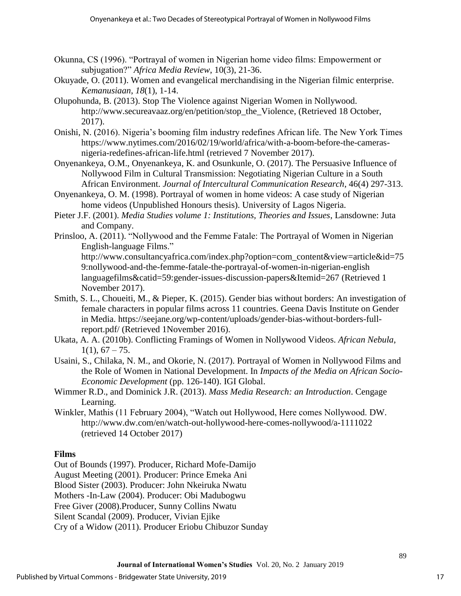- Okunna, CS (1996). "Portrayal of women in Nigerian home video films: Empowerment or subjugation?" *Africa Media Review*, 10(3), 21-36.
- Okuyade, O. (2011). Women and evangelical merchandising in the Nigerian filmic enterprise. *Kemanusiaan*, *18*(1), 1-14.
- Olupohunda, B. (2013). Stop The Violence against Nigerian Women in Nollywood. http://www.secureavaaz.org/en/petition/stop\_the\_Violence, (Retrieved 18 October, 2017).
- Onishi, N. (2016). Nigeria's booming film industry redefines African life. The New York Times https://www.nytimes.com/2016/02/19/world/africa/with-a-boom-before-the-camerasnigeria-redefines-african-life.html (retrieved 7 November 2017).
- Onyenankeya, O.M., Onyenankeya, K. and Osunkunle, O. (2017). The Persuasive Influence of Nollywood Film in Cultural Transmission: Negotiating Nigerian Culture in a South African Environment. *Journal of Intercultural Communication Research*, 46(4) 297-313.
- Onyenankeya, O. M. (1998). Portrayal of women in home videos: A case study of Nigerian home videos (Unpublished Honours thesis). University of Lagos Nigeria.
- Pieter J.F. (2001). *Media Studies volume 1: Institutions, Theories and Issues*, Lansdowne: Juta and Company.
- Prinsloo, A. (2011). "Nollywood and the Femme Fatale: The Portrayal of Women in Nigerian English-language Films." http://www.consultancyafrica.com/index.php?option=com\_content&view=article&id=75

9:nollywood-and-the-femme-fatale-the-portrayal-of-women-in-nigerian-english languagefilms&catid=59:gender-issues-discussion-papers&Itemid=267 (Retrieved 1 November 2017).

- Smith, S. L., Choueiti, M., & Pieper, K. (2015). Gender bias without borders: An investigation of female characters in popular films across 11 countries. Geena Davis Institute on Gender in Media. https://seejane.org/wp-content/uploads/gender-bias-without-borders-fullreport.pdf/ (Retrieved 1November 2016).
- Ukata, A. A. (2010b). Conflicting Framings of Women in Nollywood Videos. *African Nebula*,  $1(1), 67 - 75.$
- Usaini, S., Chilaka, N. M., and Okorie, N. (2017). Portrayal of Women in Nollywood Films and the Role of Women in National Development. In *Impacts of the Media on African Socio-Economic Development* (pp. 126-140). IGI Global.
- Wimmer R.D., and Dominick J.R. (2013). *Mass Media Research: an Introduction*. Cengage Learning.
- Winkler, Mathis (11 February 2004), "Watch out Hollywood, Here comes Nollywood. DW. http://www.dw.com/en/watch-out-hollywood-here-comes-nollywood/a-1111022 (retrieved 14 October 2017)

## **Films**

Out of Bounds (1997). Producer, Richard Mofe-Damijo

August Meeting (2001). Producer: Prince Emeka Ani

Blood Sister (2003). Producer: John Nkeiruka Nwatu

Mothers -In-Law (2004). Producer: Obi Madubogwu

Free Giver (2008).Producer, Sunny Collins Nwatu

Silent Scandal (2009). Producer, Vivian Ejike

Cry of a Widow (2011). Producer Eriobu Chibuzor Sunday